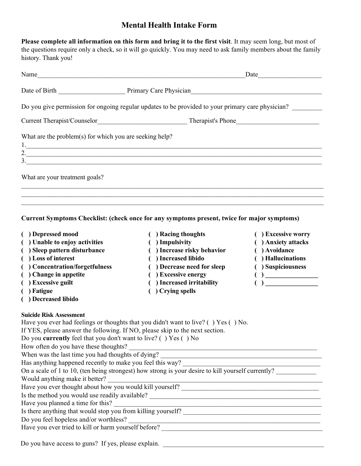# **Mental Health Intake Form**

**Please complete all information on this form and bring it to the first visit**. It may seem long, but most of the questions require only a check, so it will go quickly. You may need to ask family members about the family history. Thank you!

| Name                                                    |                                                                                                   |
|---------------------------------------------------------|---------------------------------------------------------------------------------------------------|
|                                                         | Date of Birth Primary Care Physician                                                              |
|                                                         | Do you give permission for ongoing regular updates to be provided to your primary care physician? |
|                                                         |                                                                                                   |
| What are the problem(s) for which you are seeking help? | 2.                                                                                                |
| 3.                                                      | <u> 1989 - Johann John Stone, Amerikaansk politiker (* 1989)</u>                                  |
| What are your treatment goals?                          |                                                                                                   |
|                                                         |                                                                                                   |

**Current Symptoms Checklist: (check once for any symptoms present, twice for major symptoms)** 

- 
- **( ) Depressed mood ( ) Racing thoughts ( ) Excessive worry ( ) Unable to enjoy activities ( ) Impulsivity ( ) Anxiety attacks**
- **( ) Sleep pattern disturbance ( ) Increase risky behavior ( ) Avoidance**
- 
- **( ) Concentration/forgetfulness ( ) Decrease need for sleep ( ) Suspiciousness**
- 
- 
- 
- **( ) Decreased libido**
- 
- 
- 
- **( ) Loss of interest ( ) Increased libido ( ) Hallucinations** 
	-
- **( ) Change in appetite ( ) Excessive energy ( ) \_\_\_\_\_\_\_\_\_\_\_\_\_\_\_\_**
- **( ) Excessive guilt ( ) Increased irritability ( ) \_\_\_\_\_\_\_\_\_\_\_\_\_\_\_\_**
- **( ) Fatigue ( ) Crying spells**
- 
- 
- 
- 
- 
- 

**Suicide Risk Assessment** 

| Have you ever had feelings or thoughts that you didn't want to live? () Yes () No.                 |
|----------------------------------------------------------------------------------------------------|
| If YES, please answer the following. If NO, please skip to the next section.                       |
| Do you <b>currently</b> feel that you don't want to live? $( )$ Yes $( )$ No                       |
| How often do you have these thoughts?                                                              |
| When was the last time you had thoughts of dying?                                                  |
| Has anything happened recently to make you feel this way?                                          |
| On a scale of 1 to 10, (ten being strongest) how strong is your desire to kill yourself currently? |
| Would anything make it better?                                                                     |
| Have you ever thought about how you would kill yourself?                                           |
| Is the method you would use readily available?                                                     |
| Have you planned a time for this?                                                                  |
| Is there anything that would stop you from killing yourself?                                       |
| Do you feel hopeless and/or worthless?                                                             |
| Have you ever tried to kill or harm yourself before?                                               |
|                                                                                                    |

Do you have access to guns? If yes, please explain.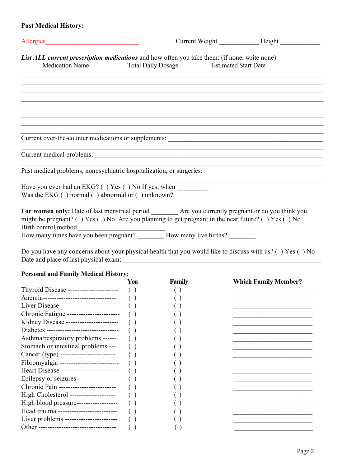## **Past Medical History:**

| Allergies                                                                                                                                                                                                    |                                         |  |
|--------------------------------------------------------------------------------------------------------------------------------------------------------------------------------------------------------------|-----------------------------------------|--|
| List ALL current prescription medications and how often you take them: (if none, write none)                                                                                                                 |                                         |  |
| <b>Medication Name</b>                                                                                                                                                                                       | Total Daily Dosage Estimated Start Date |  |
|                                                                                                                                                                                                              |                                         |  |
|                                                                                                                                                                                                              |                                         |  |
|                                                                                                                                                                                                              |                                         |  |
|                                                                                                                                                                                                              |                                         |  |
|                                                                                                                                                                                                              |                                         |  |
|                                                                                                                                                                                                              |                                         |  |
|                                                                                                                                                                                                              |                                         |  |
|                                                                                                                                                                                                              |                                         |  |
| Have you ever had an EKG? () Yes () No If yes, when ___________.                                                                                                                                             |                                         |  |
| Was the EKG $( )$ normal $( )$ abnormal or $( )$ unknown?                                                                                                                                                    |                                         |  |
| For women only: Date of last menstrual period _________ Are you currently pregnant or do you think you<br>might be pregnant? () Yes () No. Are you planning to get pregnant in the near future? () Yes () No |                                         |  |
| Birth control method<br>How many times have you been pregnant? __________ How many live births? _______                                                                                                      |                                         |  |

Do you have any concerns about your physical health that you would like to discuss with us? ( ) Yes ( ) No Date and place of last physical exam: \_\_\_\_\_\_\_\_\_\_\_\_\_\_\_\_\_\_\_\_\_\_\_\_\_\_\_\_\_\_\_\_\_\_\_\_\_\_\_\_\_\_\_\_\_\_\_\_\_\_\_\_\_\_\_\_\_\_\_

## **Personal and Family Medical History:**

|                                             | You | <b>Family</b> | <b>Which Family Member?</b> |
|---------------------------------------------|-----|---------------|-----------------------------|
| Thyroid Disease ----------------------      |     |               |                             |
| Anemia---------------------------------     |     |               |                             |
| Liver Disease -------------------------     |     |               |                             |
| Chronic Fatigue ------------------------    |     |               |                             |
| Kidney Disease -----------------------      |     |               |                             |
| Diabetes ---------------------------------- |     |               |                             |
| Asthma/respiratory problems ------          |     |               |                             |
| Stomach or intestinal problems ---          |     |               |                             |
| Cancer (type) -------------------------     |     |               |                             |
| Fibromyalgia --------------------------     |     |               |                             |
| Heart Disease --------------------------    |     |               |                             |
| Epilepsy or seizures -------------------    |     |               |                             |
| Chronic Pain -------------------------      |     |               |                             |
| High Cholesterol ---------------------      |     |               |                             |
| High blood pressure------------------       |     |               |                             |
| Head trauma --------------------------      |     |               |                             |
| Liver problems -----------------------      |     |               |                             |
| Other -----------------------------------   |     |               |                             |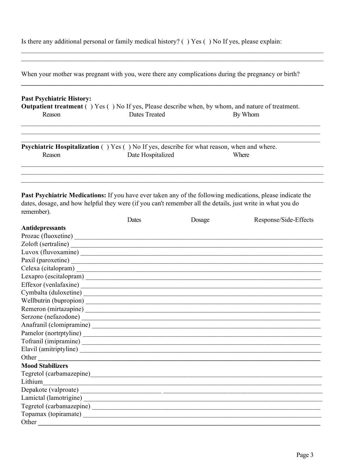| Is there any additional personal or family medical history? $( )$ Yes $( )$ No If yes, please explain: |  |  |  |  |  |
|--------------------------------------------------------------------------------------------------------|--|--|--|--|--|
|--------------------------------------------------------------------------------------------------------|--|--|--|--|--|

| <b>Past Psychiatric History:</b> |                                                                                                          |         |
|----------------------------------|----------------------------------------------------------------------------------------------------------|---------|
|                                  | <b>Outpatient treatment</b> () Yes () No If yes, Please describe when, by whom, and nature of treatment. |         |
| Reason                           | Dates Treated                                                                                            | By Whom |
|                                  | <b>Psychiatric Hospitalization</b> () Yes () No If yes, describe for what reason, when and where.        |         |
| Reason                           | Date Hospitalized                                                                                        | Where   |

Past Psychiatric Medications: If you have ever taken any of the following medications, please indicate the dates, dosage, and how helpful they were (if you can't remember all the details, just write in what you do remember).

|                                                                                                                                                                                                                                      | Dates                                                                                                                | Dosage | Response/Side-Effects |
|--------------------------------------------------------------------------------------------------------------------------------------------------------------------------------------------------------------------------------------|----------------------------------------------------------------------------------------------------------------------|--------|-----------------------|
| <b>Antidepressants</b>                                                                                                                                                                                                               |                                                                                                                      |        |                       |
|                                                                                                                                                                                                                                      |                                                                                                                      |        |                       |
|                                                                                                                                                                                                                                      |                                                                                                                      |        |                       |
|                                                                                                                                                                                                                                      |                                                                                                                      |        |                       |
|                                                                                                                                                                                                                                      |                                                                                                                      |        |                       |
|                                                                                                                                                                                                                                      |                                                                                                                      |        |                       |
|                                                                                                                                                                                                                                      |                                                                                                                      |        |                       |
|                                                                                                                                                                                                                                      |                                                                                                                      |        |                       |
|                                                                                                                                                                                                                                      |                                                                                                                      |        |                       |
|                                                                                                                                                                                                                                      |                                                                                                                      |        |                       |
|                                                                                                                                                                                                                                      |                                                                                                                      |        |                       |
|                                                                                                                                                                                                                                      |                                                                                                                      |        |                       |
|                                                                                                                                                                                                                                      |                                                                                                                      |        |                       |
|                                                                                                                                                                                                                                      |                                                                                                                      |        |                       |
|                                                                                                                                                                                                                                      |                                                                                                                      |        |                       |
|                                                                                                                                                                                                                                      |                                                                                                                      |        |                       |
| Other <u>and the community of the community of the community of the community of the community of the community of the community of the community of the community of the community of the community of the community of the com</u> |                                                                                                                      |        |                       |
| <b>Mood Stabilizers</b>                                                                                                                                                                                                              |                                                                                                                      |        |                       |
|                                                                                                                                                                                                                                      |                                                                                                                      |        |                       |
| Lithium                                                                                                                                                                                                                              | <u> 1989 - Jan James James, margaret amerikan biziki dago dago dago dago da manazar da dago da manazar da dago d</u> |        |                       |
|                                                                                                                                                                                                                                      |                                                                                                                      |        |                       |
|                                                                                                                                                                                                                                      |                                                                                                                      |        |                       |
|                                                                                                                                                                                                                                      |                                                                                                                      |        |                       |
|                                                                                                                                                                                                                                      |                                                                                                                      |        |                       |
| Other <u>the contract of the contract of the contract of the contract of the contract of the contract of the contract of the contract of the contract of the contract of the contract of the contract of the contract of the con</u> |                                                                                                                      |        |                       |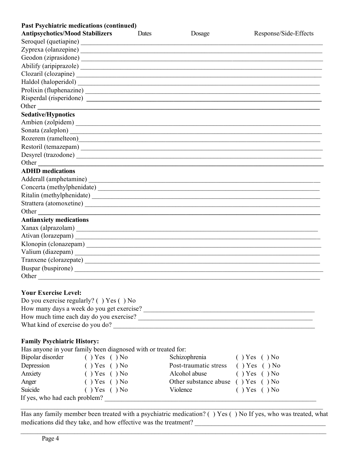| <b>Past Psychiatric medications (continued)</b> |       |        |                       |
|-------------------------------------------------|-------|--------|-----------------------|
| <b>Antipsychotics/Mood Stabilizers</b>          | Dates | Dosage | Response/Side-Effects |
|                                                 |       |        |                       |
|                                                 |       |        |                       |
|                                                 |       |        |                       |
|                                                 |       |        |                       |
|                                                 |       |        |                       |
|                                                 |       |        |                       |
|                                                 |       |        |                       |
|                                                 |       |        |                       |
|                                                 |       |        |                       |
| <b>Sedative/Hypnotics</b>                       |       |        |                       |
|                                                 |       |        |                       |
| Sonata (zaleplon)                               |       |        |                       |
|                                                 |       |        |                       |
|                                                 |       |        |                       |
|                                                 |       |        |                       |
| Other                                           |       |        |                       |
| <b>ADHD</b> medications                         |       |        |                       |
|                                                 |       |        |                       |
|                                                 |       |        |                       |
| Ritalin (methylphenidate)                       |       |        |                       |
|                                                 |       |        |                       |
| Other                                           |       |        |                       |
| <b>Antianxiety medications</b>                  |       |        |                       |
|                                                 |       |        |                       |
|                                                 |       |        |                       |
|                                                 |       |        |                       |
|                                                 |       |        |                       |
|                                                 |       |        |                       |
|                                                 |       |        |                       |
| Other                                           |       |        |                       |
|                                                 |       |        |                       |

## **Your Exercise Level:**

| Do you exercise regularly? $( )$ Yes $( )$ No |
|-----------------------------------------------|
| How many days a week do you get exercise?     |
| How much time each day do you exercise?       |
| What kind of exercise do you do?              |

## **Family Psychiatric History:**

| <b>Family Psychiatric History:</b> |                                                               |                                          |                    |
|------------------------------------|---------------------------------------------------------------|------------------------------------------|--------------------|
|                                    | Has anyone in your family been diagnosed with or treated for. |                                          |                    |
| Bipolar disorder                   | $( )$ Yes $( )$ No                                            | Schizophrenia                            | $( )$ Yes $( )$ No |
| Depression                         | () Yes () No                                                  | Post-traumatic stress () Yes () No       |                    |
| Anxiety                            | $( )$ Yes $( )$ No                                            | Alcohol abuse                            | $( )$ Yes $( )$ No |
| Anger                              | () Yes () No                                                  | Other substance abuse $( )$ Yes $( )$ No |                    |
| Suicide                            | $( )$ Yes $( )$ No                                            | Violence                                 | $( )$ Yes $( )$ No |
| If yes, who had each problem?      |                                                               |                                          |                    |

Has any family member been treated with a psychiatric medication? ( ) Yes ( ) No If yes, who was treated, what medications did they take, and how effective was the treatment? \_\_\_\_\_\_\_\_\_\_\_\_\_\_\_\_\_\_\_\_\_\_\_\_\_\_\_\_\_\_\_\_\_\_\_\_\_\_\_

 $\_$ 

 $\mathcal{L}_\mathcal{L} = \mathcal{L}_\mathcal{L} = \mathcal{L}_\mathcal{L} = \mathcal{L}_\mathcal{L} = \mathcal{L}_\mathcal{L} = \mathcal{L}_\mathcal{L} = \mathcal{L}_\mathcal{L} = \mathcal{L}_\mathcal{L} = \mathcal{L}_\mathcal{L} = \mathcal{L}_\mathcal{L} = \mathcal{L}_\mathcal{L} = \mathcal{L}_\mathcal{L} = \mathcal{L}_\mathcal{L} = \mathcal{L}_\mathcal{L} = \mathcal{L}_\mathcal{L} = \mathcal{L}_\mathcal{L} = \mathcal{L}_\mathcal{L}$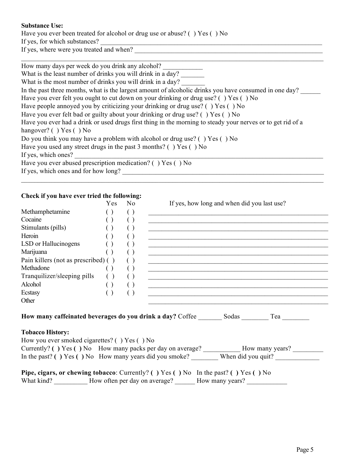#### **Substance Use:**

Have you ever been treated for alcohol or drug use or abuse? () Yes () No If yes, for which substances?

If yes, where were you treated and when?

How many days per week do you drink any alcohol?

What is the least number of drinks you will drink in a day?

What is the most number of drinks you will drink in a day?

In the past three months, what is the largest amount of alcoholic drinks you have consumed in one day?

 $\mathcal{L}_\mathcal{L} = \mathcal{L}_\mathcal{L} = \mathcal{L}_\mathcal{L} = \mathcal{L}_\mathcal{L} = \mathcal{L}_\mathcal{L} = \mathcal{L}_\mathcal{L} = \mathcal{L}_\mathcal{L} = \mathcal{L}_\mathcal{L} = \mathcal{L}_\mathcal{L} = \mathcal{L}_\mathcal{L} = \mathcal{L}_\mathcal{L} = \mathcal{L}_\mathcal{L} = \mathcal{L}_\mathcal{L} = \mathcal{L}_\mathcal{L} = \mathcal{L}_\mathcal{L} = \mathcal{L}_\mathcal{L} = \mathcal{L}_\mathcal{L}$ 

Have you ever felt you ought to cut down on your drinking or drug use? () Yes () No

Have people annoyed you by criticizing your drinking or drug use? ( ) Yes ( ) No

Have you ever felt bad or guilty about your drinking or drug use? () Yes () No

Have you ever had a drink or used drugs first thing in the morning to steady your nerves or to get rid of a hangover? ( ) Yes ( ) No

Do you think you may have a problem with alcohol or drug use? ( ) Yes ( ) No

Have you used any street drugs in the past  $3$  months? () Yes () No

If yes, which ones?

Have you ever abused prescription medication? ( ) Yes ( ) No If yes, which ones and for how long?

#### **Check if you have ever tried the following:**

|                                              | Yes                | No.                | If yes, how long and when did you last use?                                                                                                                                                |
|----------------------------------------------|--------------------|--------------------|--------------------------------------------------------------------------------------------------------------------------------------------------------------------------------------------|
| Methamphetamine                              | ( )                | $\left( \ \right)$ | <u> 1990 - Jan James Barnett, mars and de la politica de la politica de la politica de la politica de la politica </u>                                                                     |
| Cocaine                                      | ( )                | $\left( \ \right)$ |                                                                                                                                                                                            |
| Stimulants (pills)                           | ( )                | $\left( \ \right)$ |                                                                                                                                                                                            |
| Heroin                                       | $\left( \ \right)$ | $\left( \ \right)$ | <u> 1989 - Johann Stoff, deutscher Stoffen und der Stoffen und der Stoffen und der Stoffen und der Stoffen und der</u>                                                                     |
| LSD or Hallucinogens                         | $\left( \ \right)$ | $\left( \ \right)$ |                                                                                                                                                                                            |
| Marijuana                                    | $\left( \ \right)$ | $\left( \ \right)$ | <u> 1980 - John Stein, mars and der Stein Stein Stein Stein Stein Stein Stein Stein Stein Stein Stein Stein Stein</u>                                                                      |
| Pain killers (not as prescribed) ()          |                    | $\left( \ \right)$ |                                                                                                                                                                                            |
| Methadone                                    | $()$ ()            |                    | <u> 1989 - John Stoff, deutscher Stoff, der Stoff, der Stoff, der Stoff, der Stoff, der Stoff, der Stoff, der Stoff</u>                                                                    |
| Tranquilizer/sleeping pills () ()            |                    |                    |                                                                                                                                                                                            |
| Alcohol                                      | $\left( \ \right)$ | $\left( \ \right)$ | <u> 1989 - Johann John Stoff, deutscher Stoffen und der Stoffen und der Stoffen und der Stoffen und der Stoffen un</u>                                                                     |
| Ecstasy                                      | $\left( \ \right)$ | $\left( \ \right)$ |                                                                                                                                                                                            |
| Other                                        |                    |                    |                                                                                                                                                                                            |
|                                              |                    |                    | How many caffeinated beverages do you drink a day? Coffee _________ Sodas _________ Tea ___________                                                                                        |
| <b>Tobacco History:</b>                      |                    |                    |                                                                                                                                                                                            |
| How you ever smoked cigarettes? () Yes () No |                    |                    | Currently? () Yes () No How many packs per day on average? ____________ How many years? __________                                                                                         |
|                                              |                    |                    | In the past? () Yes () No How many years did you smoke? When did you quit?                                                                                                                 |
|                                              |                    |                    | <b>Pipe, cigars, or chewing tobacco</b> : Currently? () Yes () No In the past? () Yes () No<br>What kind? _____________ How often per day on average? ________ How many years? ___________ |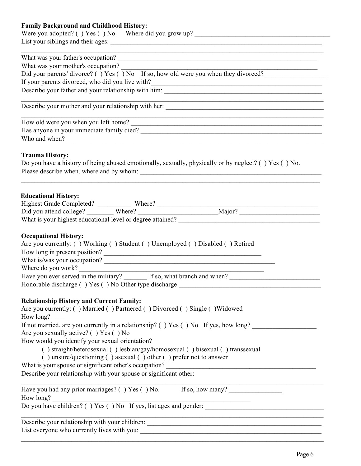## **Family Background and Childhood History:**

| Were you adopted? () Yes () No Where did you grow up? ___________________________                                                              |
|------------------------------------------------------------------------------------------------------------------------------------------------|
| What was your father's occupation?                                                                                                             |
| What was your mother's occupation?<br>Did your parents' divorce? ( ) Yes ( ) No If so, how old were you when they divorced?                    |
|                                                                                                                                                |
| If your parents divorced, who did you live with?                                                                                               |
|                                                                                                                                                |
|                                                                                                                                                |
| How old were you when you left home?                                                                                                           |
|                                                                                                                                                |
|                                                                                                                                                |
| <b>Trauma History:</b><br>Do you have a history of being abused emotionally, sexually, physically or by neglect? () Yes () No.                 |
| <b>Educational History:</b><br>Highest Grade Completed? Where? Where Major? Major?                                                             |
|                                                                                                                                                |
| What is your highest educational level or degree attained?                                                                                     |
| <b>Occupational History:</b><br>Are you currently: () Working () Student () Unemployed () Disabled () Retired<br>How long in present position? |
|                                                                                                                                                |
|                                                                                                                                                |
|                                                                                                                                                |
| Honorable discharge () Yes () No Other type discharge ___________________________                                                              |
| <b>Relationship History and Current Family:</b><br>Are you currently: () Married () Partnered () Divorced () Single () Widowed                 |
| How long?                                                                                                                                      |
| If not married, are you currently in a relationship? () Yes () No If yes, how long?<br>Are you sexually active? () Yes () No                   |
| How would you identify your sexual orientation?                                                                                                |
| () straight/heterosexual () lesbian/gay/homosexual () bisexual () transsexual                                                                  |
| () unsure/questioning () asexual () other () prefer not to answer                                                                              |
| What is your spouse or significant other's occupation?                                                                                         |
| Describe your relationship with your spouse or significant other:                                                                              |
| Have you had any prior marriages? () Yes () No. If so, how many?                                                                               |
| How long?                                                                                                                                      |
| Do you have children? () Yes () No If yes, list ages and gender:                                                                               |
|                                                                                                                                                |
|                                                                                                                                                |
|                                                                                                                                                |